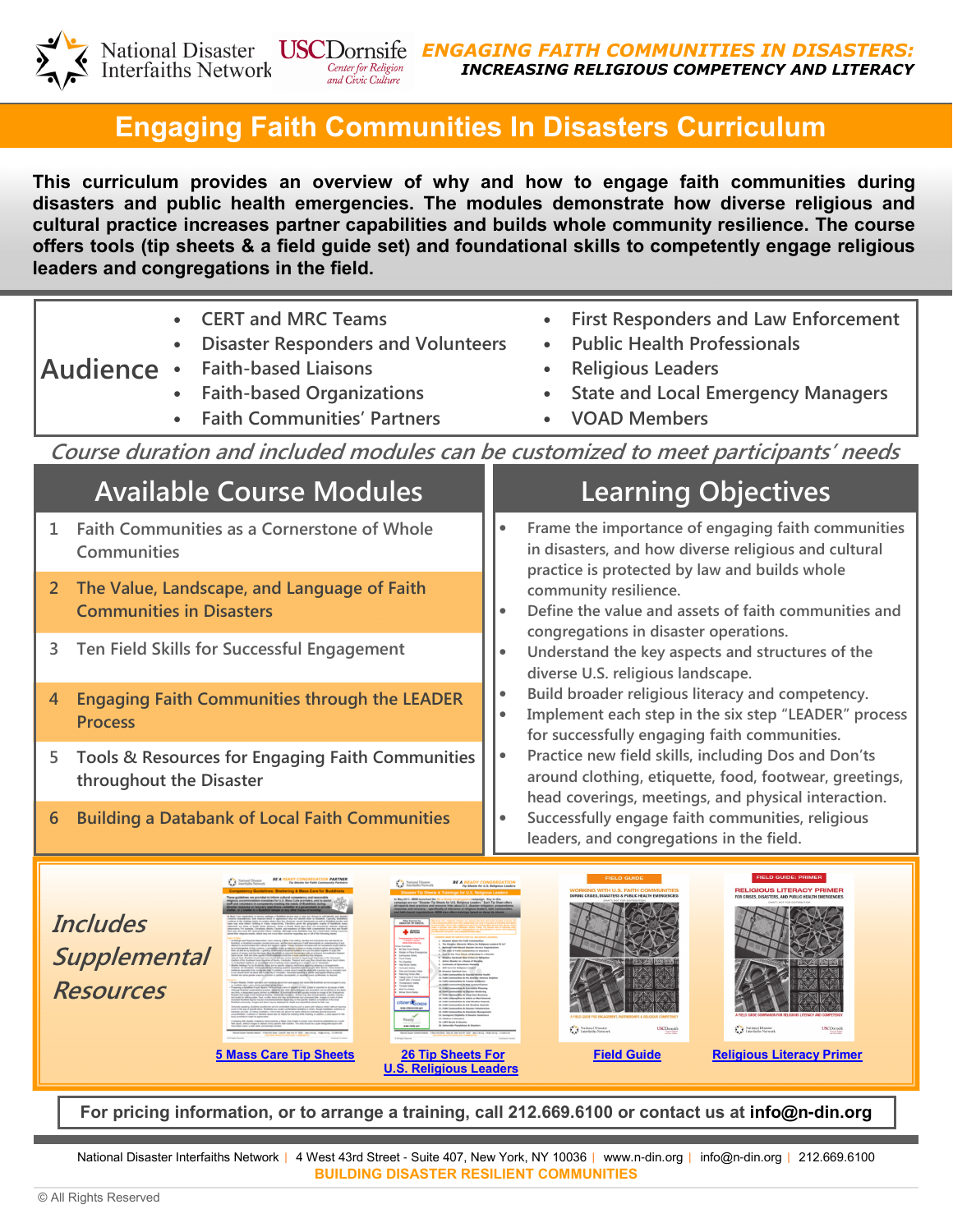

## Engaging Faith Communities In Disasters Curriculum

This curriculum provides an overview of why and how to engage faith communities during disasters and public health emergencies. The modules demonstrate how diverse religious and cultural practice increases partner capabilities and builds whole community resilience. The course offers tools (tip sheets & a field guide set) and foundational skills to competently engage religious leaders and congregations in the field.



For pricing information, or to arrange a training, call 212.669.6100 or contact us at info@n**-**din.org

National Disaster Interfaiths Network | 4 West 43rd Street - Suite 407, New York, NY 10036 | www.n-din.org | info@n-din.org | 212.669.6100 BUILDING DISASTER RESILIENT COMMUNITIES